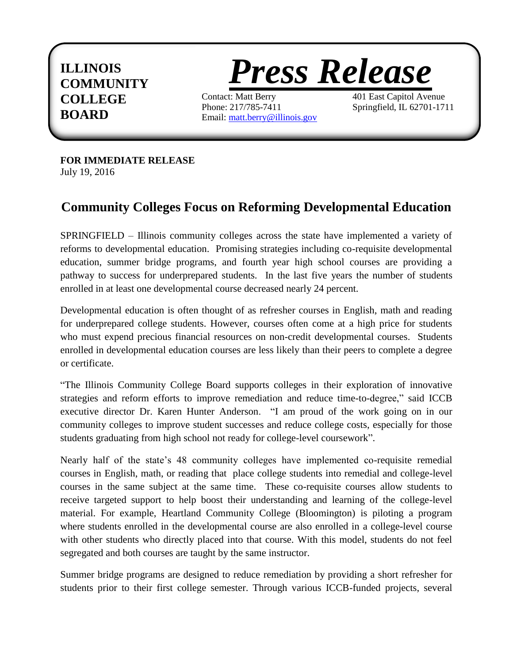## **ILLINOIS COMMUNITY COLLEGE BOARD**



Contact: Matt Berry 401 East Capitol Avenue Phone: 217/785-7411 Springfield, IL 62701-1711 Email: [matt.berry@illinois.gov](mailto:matt.berry@illinois.gov)

**FOR IMMEDIATE RELEASE**  July 19, 2016

## **Community Colleges Focus on Reforming Developmental Education**

SPRINGFIELD – Illinois community colleges across the state have implemented a variety of reforms to developmental education. Promising strategies including co-requisite developmental education, summer bridge programs, and fourth year high school courses are providing a pathway to success for underprepared students. In the last five years the number of students enrolled in at least one developmental course decreased nearly 24 percent.

Developmental education is often thought of as refresher courses in English, math and reading for underprepared college students. However, courses often come at a high price for students who must expend precious financial resources on non-credit developmental courses. Students enrolled in developmental education courses are less likely than their peers to complete a degree or certificate.

"The Illinois Community College Board supports colleges in their exploration of innovative strategies and reform efforts to improve remediation and reduce time-to-degree," said ICCB executive director Dr. Karen Hunter Anderson. "I am proud of the work going on in our community colleges to improve student successes and reduce college costs, especially for those students graduating from high school not ready for college-level coursework".

Nearly half of the state's 48 community colleges have implemented co-requisite remedial courses in English, math, or reading that place college students into remedial and college-level courses in the same subject at the same time. These co-requisite courses allow students to receive targeted support to help boost their understanding and learning of the college-level material. For example, Heartland Community College (Bloomington) is piloting a program where students enrolled in the developmental course are also enrolled in a college-level course with other students who directly placed into that course. With this model, students do not feel segregated and both courses are taught by the same instructor.

Summer bridge programs are designed to reduce remediation by providing a short refresher for students prior to their first college semester. Through various ICCB-funded projects, several